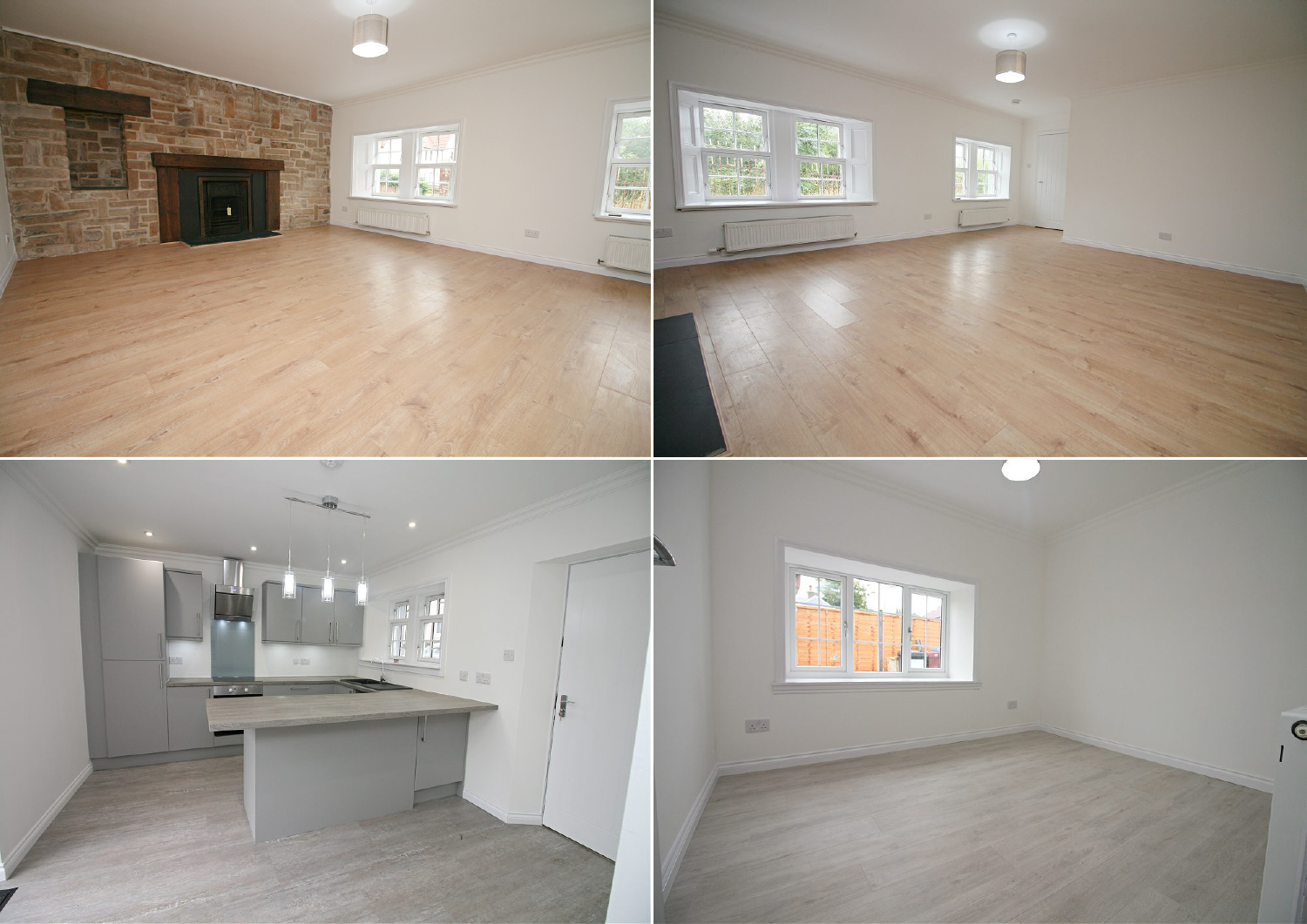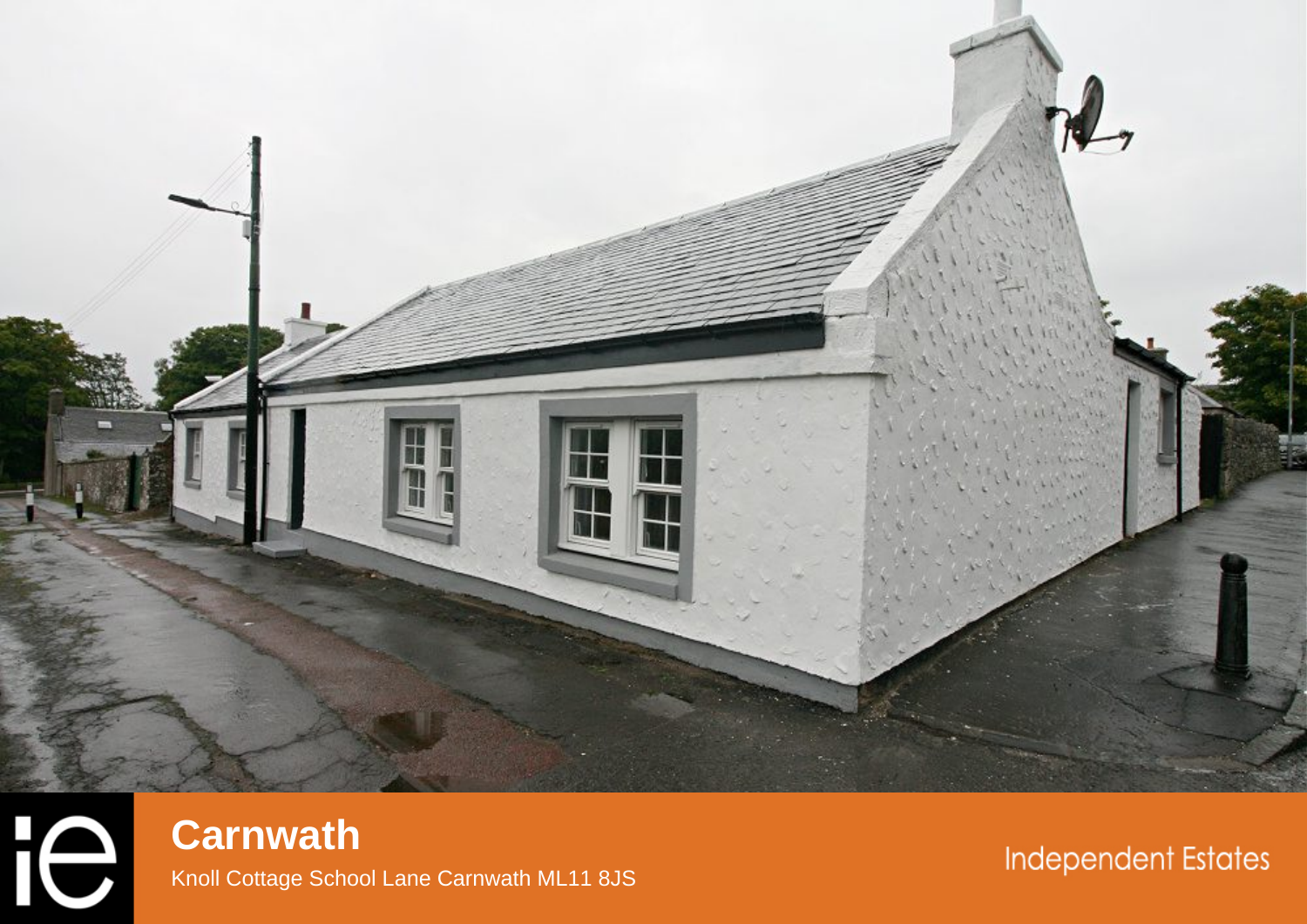

# **Carnwath**

Knoll Cottage School Lane Carnwath ML11 8JS

## **Independent Estates**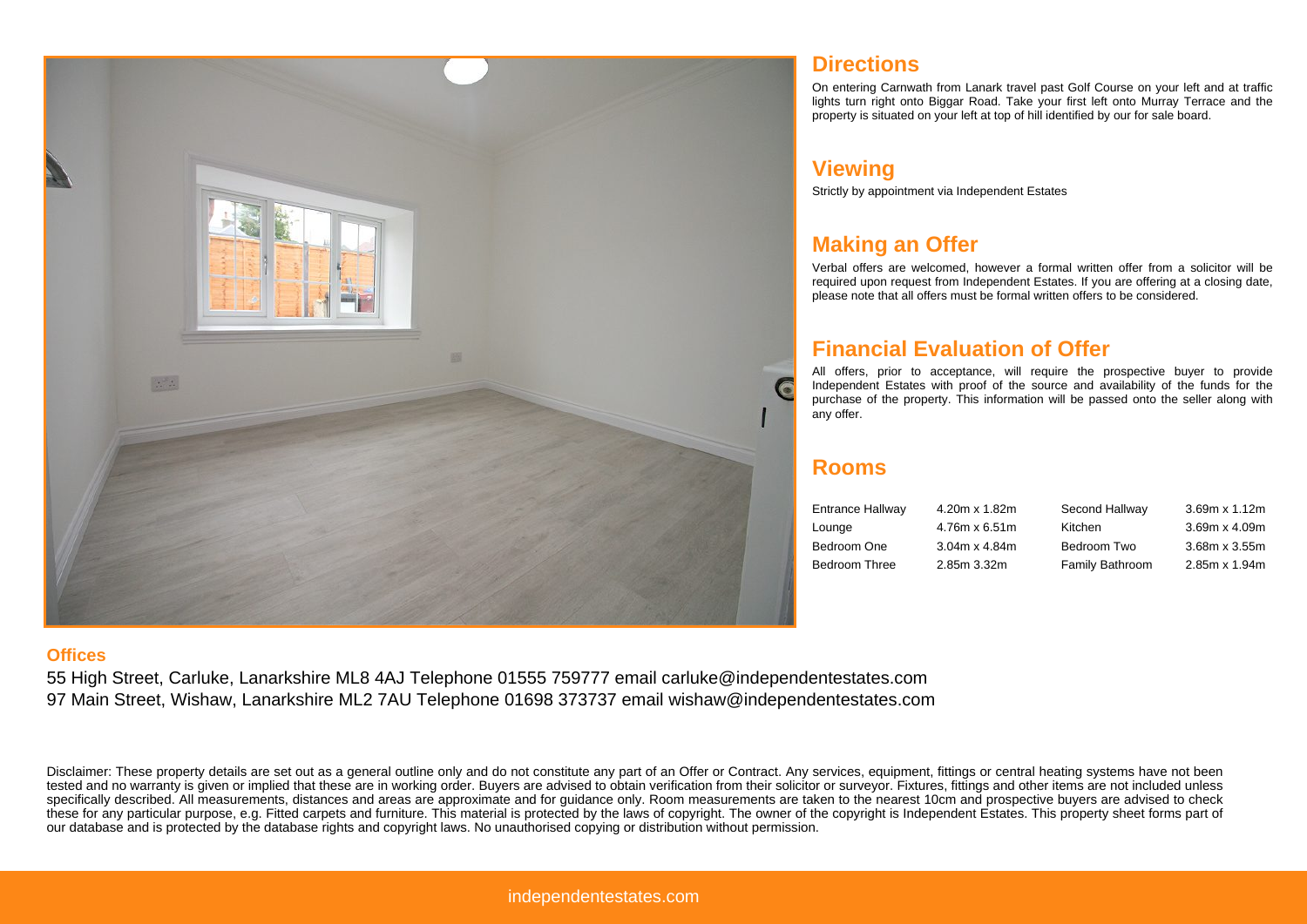#### **Directions**

On entering Carnwath from Lanark travel past Golf Course on your left and at traffic lights turn right onto Biggar Road. Take your first left onto Murray Terrace and the property is situated on your left at top of hill identified by our for sale board.

#### **Viewing**

Strictly by appointment via Independent Estates

### **Making an Offer**

Verbal offers are welcomed, however a formal written offer from a solicitor will be required upon request from Independent Estates. If you are offering at a closing date, please note that all offers must be formal written offers to be considered.

#### **Financial Evaluation of Offer**

All offers, prior to acceptance, will require the prospective buyer to provide Independent Estates with proof of the source and availability of the funds for the purchase of the property. This information will be passed onto the seller along with any offer.

#### **Rooms**

Entrance Hallway 4.20m x 1  $Lounge$   $4.76m \times 6$ Bedroom One 3.04m x 4 Bedroom Three 2.85m 3.3

| .82m  | Second Hallway         | $3.69m \times 1.12m$ |
|-------|------------------------|----------------------|
| ነ.51m | Kitchen                | 3.69m x 4.09m        |
| l.84m | <b>Bedroom Two</b>     | 3.68m x 3.55m        |
| 32m   | <b>Family Bathroom</b> | 2.85m x 1.94m        |



#### **Offices**

Disclaimer: These property details are set out as a general outline only and do not constitute any part of an Offer or Contract. Any services, equipment, fittings or central heating systems have not been tested and no warranty is given or implied that these are in working order. Buyers are advised to obtain verification from their solicitor or surveyor. Fixtures, fittings and other items are not included unless specifically described. All measurements, distances and areas are approximate and for quidance only. Room measurements are taken to the nearest 10cm and prospective buyers are advised to check these for any particular purpose, e.g. Fitted carpets and furniture. This material is protected by the laws of copyright. The owner of the copyright is Independent Estates. This property sheet forms part of our database and is protected by the database rights and copyright laws. No unauthorised copying or distribution without permission.

55 High Street, Carluke, Lanarkshire ML8 4AJ Telephone 01555 759777 email carluke@independentestates.com 97 Main Street, Wishaw, Lanarkshire ML2 7AU Telephone 01698 373737 email wishaw@independentestates.com